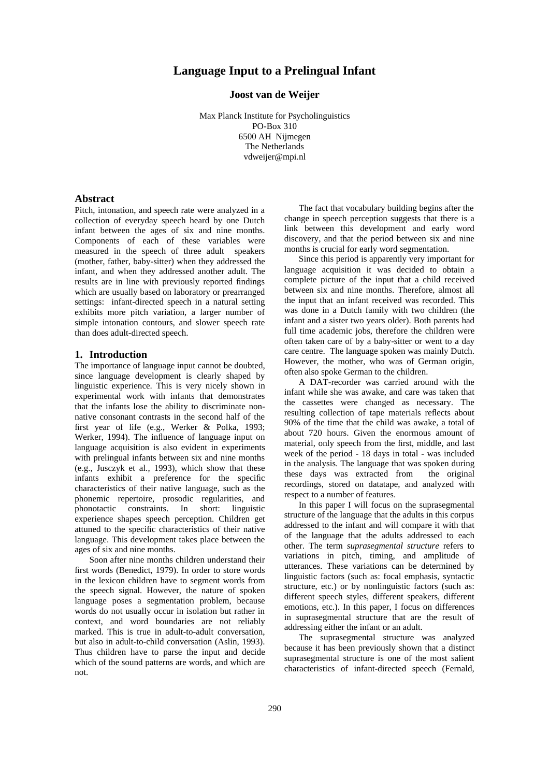# **Language Input to a Prelingual Infant**

## **Joost van de Weijer**

Max Planck Institute for Psycholinguistics PO-Box 310 6500 AH Nijmegen The Netherlands vdweijer@mpi.nl

# **Abstract**

Pitch, intonation, and speech rate were analyzed in a collection of everyday speech heard by one Dutch infant between the ages of six and nine months. Components of each of these variables were measured in the speech of three adult speakers (mother, father, baby-sitter) when they addressed the infant, and when they addressed another adult. The results are in line with previously reported findings which are usually based on laboratory or prearranged settings: infant-directed speech in a natural setting exhibits more pitch variation, a larger number of simple intonation contours, and slower speech rate than does adult-directed speech.

### **1. Introduction**

The importance of language input cannot be doubted, since language development is clearly shaped by linguistic experience. This is very nicely shown in experimental work with infants that demonstrates that the infants lose the ability to discriminate nonnative consonant contrasts in the second half of the first year of life (e.g., Werker & Polka, 1993; Werker, 1994). The influence of language input on language acquisition is also evident in experiments with prelingual infants between six and nine months (e.g., Jusczyk et al., 1993), which show that these infants exhibit a preference for the specific characteristics of their native language, such as the phonemic repertoire, prosodic regularities, and phonotactic constraints. In short: linguistic experience shapes speech perception. Children get attuned to the specific characteristics of their native language. This development takes place between the ages of six and nine months.

Soon after nine months children understand their first words (Benedict, 1979). In order to store words in the lexicon children have to segment words from the speech signal. However, the nature of spoken language poses a segmentation problem, because words do not usually occur in isolation but rather in context, and word boundaries are not reliably marked. This is true in adult-to-adult conversation, but also in adult-to-child conversation (Aslin, 1993). Thus children have to parse the input and decide which of the sound patterns are words, and which are not.

The fact that vocabulary building begins after the change in speech perception suggests that there is a link between this development and early word discovery, and that the period between six and nine months is crucial for early word segmentation.

Since this period is apparently very important for language acquisition it was decided to obtain a complete picture of the input that a child received between six and nine months. Therefore, almost all the input that an infant received was recorded. This was done in a Dutch family with two children (the infant and a sister two years older). Both parents had full time academic jobs, therefore the children were often taken care of by a baby-sitter or went to a day care centre. The language spoken was mainly Dutch. However, the mother, who was of German origin, often also spoke German to the children.

A DAT-recorder was carried around with the infant while she was awake, and care was taken that the cassettes were changed as necessary. The resulting collection of tape materials reflects about 90% of the time that the child was awake, a total of about 720 hours. Given the enormous amount of material, only speech from the first, middle, and last week of the period - 18 days in total - was included in the analysis. The language that was spoken during these days was extracted from the original recordings, stored on datatape, and analyzed with respect to a number of features.

In this paper I will focus on the suprasegmental structure of the language that the adults in this corpus addressed to the infant and will compare it with that of the language that the adults addressed to each other. The term *suprasegmental structure* refers to variations in pitch, timing, and amplitude of utterances. These variations can be determined by linguistic factors (such as: focal emphasis, syntactic structure, etc.) or by nonlinguistic factors (such as: different speech styles, different speakers, different emotions, etc.). In this paper, I focus on differences in suprasegmental structure that are the result of addressing either the infant or an adult.

The suprasegmental structure was analyzed because it has been previously shown that a distinct suprasegmental structure is one of the most salient characteristics of infant-directed speech (Fernald,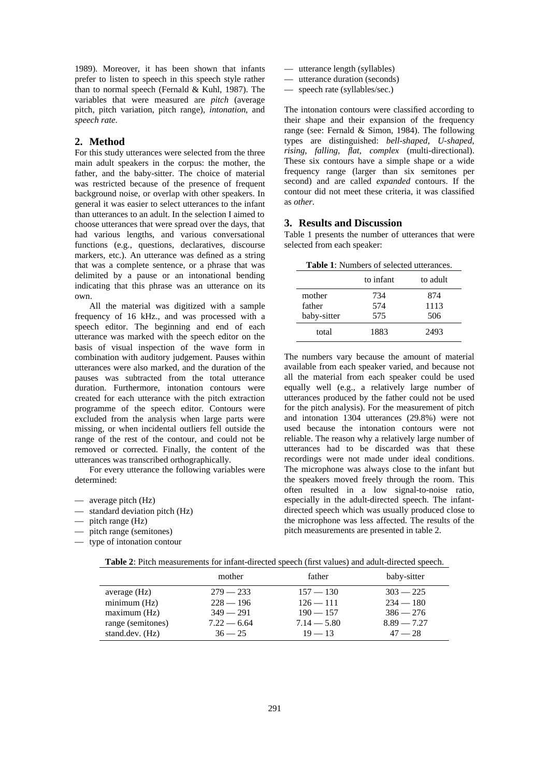1989). Moreover, it has been shown that infants prefer to listen to speech in this speech style rather than to normal speech (Fernald & Kuhl, 1987). The variables that were measured are *pitch* (average pitch, pitch variation, pitch range), *intonation*, and *speech rate*.

### **2. Method**

For this study utterances were selected from the three main adult speakers in the corpus: the mother, the father, and the baby-sitter. The choice of material was restricted because of the presence of frequent background noise, or overlap with other speakers. In general it was easier to select utterances to the infant than utterances to an adult. In the selection I aimed to choose utterances that were spread over the days, that had various lengths, and various conversational functions (e.g., questions, declaratives, discourse markers, etc.). An utterance was defined as a string that was a complete sentence, or a phrase that was delimited by a pause or an intonational bending indicating that this phrase was an utterance on its own.

All the material was digitized with a sample frequency of 16 kHz., and was processed with a speech editor. The beginning and end of each utterance was marked with the speech editor on the basis of visual inspection of the wave form in combination with auditory judgement. Pauses within utterances were also marked, and the duration of the pauses was subtracted from the total utterance duration. Furthermore, intonation contours were created for each utterance with the pitch extraction programme of the speech editor. Contours were excluded from the analysis when large parts were missing, or when incidental outliers fell outside the range of the rest of the contour, and could not be removed or corrected. Finally, the content of the utterances was transcribed orthographically.

For every utterance the following variables were determined:

- average pitch (Hz)
- standard deviation pitch (Hz)
- pitch range (Hz)
- pitch range (semitones)
- type of intonation contour
- utterance length (syllables)
- utterance duration (seconds)
- speech rate (syllables/sec.)

The intonation contours were classified according to their shape and their expansion of the frequency range (see: Fernald & Simon, 1984). The following types are distinguished: *bell-shaped*, *U-shaped*, *rising*, *falling*, *flat*, *complex* (multi-directional). These six contours have a simple shape or a wide frequency range (larger than six semitones per second) and are called *expanded* contours. If the contour did not meet these criteria, it was classified as *other*.

## **3. Results and Discussion**

Table 1 presents the number of utterances that were selected from each speaker:

**Table 1**: Numbers of selected utterances.

|             | to infant | to adult |
|-------------|-----------|----------|
| mother      | 734       | 874      |
| father      | 574       | 1113     |
| baby-sitter | 575       | 506      |
| total       | 1883      | 2493     |

The numbers vary because the amount of material available from each speaker varied, and because not all the material from each speaker could be used equally well (e.g., a relatively large number of utterances produced by the father could not be used for the pitch analysis). For the measurement of pitch and intonation 1304 utterances (29.8%) were not used because the intonation contours were not reliable. The reason why a relatively large number of utterances had to be discarded was that these recordings were not made under ideal conditions. The microphone was always close to the infant but the speakers moved freely through the room. This often resulted in a low signal-to-noise ratio, especially in the adult-directed speech. The infantdirected speech which was usually produced close to the microphone was less affected. The results of the pitch measurements are presented in table 2.

|                   | mother        | father        | baby-sitter   |
|-------------------|---------------|---------------|---------------|
| average $(Hz)$    | $279 - 233$   | $157 - 130$   | $303 - 225$   |
| minimum (Hz)      | $228 - 196$   | $126 - 111$   | $234 - 180$   |
| maximum (Hz)      | $349 - 291$   | $190 - 157$   | $386 - 276$   |
| range (semitones) | $7.22 - 6.64$ | $7.14 - 5.80$ | $8.89 - 7.27$ |
| stand.dev. (Hz)   | $36 - 25$     | $19 - 13$     | $47 - 28$     |

| <b>Table 2:</b> Pitch measurements for infant-directed speech (first values) and adult-directed speech. |  |
|---------------------------------------------------------------------------------------------------------|--|
|---------------------------------------------------------------------------------------------------------|--|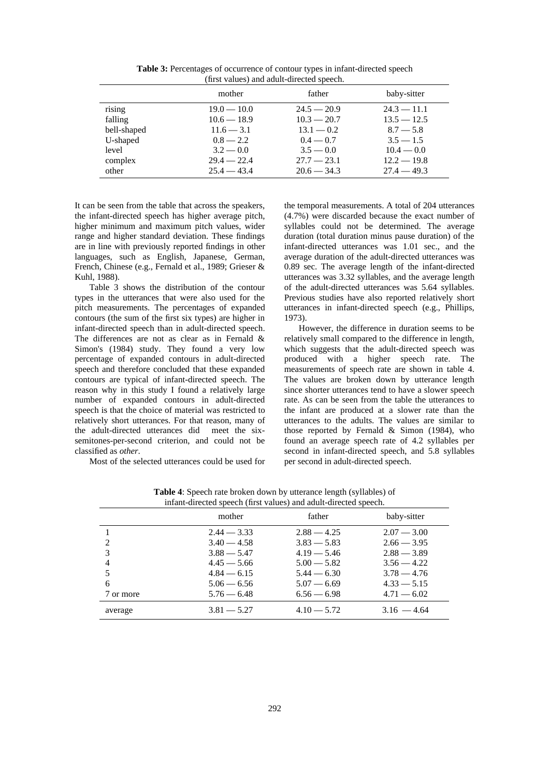|             | mother        | father        | baby-sitter   |  |
|-------------|---------------|---------------|---------------|--|
| rising      | $19.0 - 10.0$ | $24.5 - 20.9$ | $24.3 - 11.1$ |  |
| falling     | $10.6 - 18.9$ | $10.3 - 20.7$ | $13.5 - 12.5$ |  |
| bell-shaped | $11.6 - 3.1$  | $13.1 - 0.2$  | $8.7 - 5.8$   |  |
| U-shaped    | $0.8 - 2.2$   | $0.4 - 0.7$   | $3.5 - 1.5$   |  |
| level       | $3.2 - 0.0$   | $3.5 - 0.0$   | $10.4 - 0.0$  |  |
| complex     | $29.4 - 22.4$ | $27.7 - 23.1$ | $12.2 - 19.8$ |  |
| other       | $25.4 - 43.4$ | $20.6 - 34.3$ | $27.4 - 49.3$ |  |

**Table 3:** Percentages of occurrence of contour types in infant-directed speech (first values) and adult-directed speech.

It can be seen from the table that across the speakers, the infant-directed speech has higher average pitch, higher minimum and maximum pitch values, wider range and higher standard deviation. These findings are in line with previously reported findings in other languages, such as English, Japanese, German, French, Chinese (e.g., Fernald et al., 1989; Grieser & Kuhl, 1988).

Table 3 shows the distribution of the contour types in the utterances that were also used for the pitch measurements. The percentages of expanded contours (the sum of the first six types) are higher in infant-directed speech than in adult-directed speech. The differences are not as clear as in Fernald & Simon's (1984) study. They found a very low percentage of expanded contours in adult-directed speech and therefore concluded that these expanded contours are typical of infant-directed speech. The reason why in this study I found a relatively large number of expanded contours in adult-directed speech is that the choice of material was restricted to relatively short utterances. For that reason, many of the adult-directed utterances did meet the sixsemitones-per-second criterion, and could not be classified as *other*. Most of the selected utterances could be used for

the temporal measurements. A total of 204 utterances (4.7%) were discarded because the exact number of syllables could not be determined. The average duration (total duration minus pause duration) of the infant-directed utterances was 1.01 sec., and the average duration of the adult-directed utterances was 0.89 sec. The average length of the infant-directed utterances was 3.32 syllables, and the average length of the adult-directed utterances was 5.64 syllables. Previous studies have also reported relatively short utterances in infant-directed speech (e.g., Phillips, 1973).

However, the difference in duration seems to be relatively small compared to the difference in length, which suggests that the adult-directed speech was produced with a higher speech rate. The measurements of speech rate are shown in table 4. The values are broken down by utterance length since shorter utterances tend to have a slower speech rate. As can be seen from the table the utterances to the infant are produced at a slower rate than the utterances to the adults. The values are similar to those reported by Fernald & Simon (1984), who found an average speech rate of 4.2 syllables per second in infant-directed speech, and 5.8 syllables per second in adult-directed speech.

| Imain-differed speech (first values) and addit-differed speech. |               |               |               |  |
|-----------------------------------------------------------------|---------------|---------------|---------------|--|
|                                                                 | mother        | father        | baby-sitter   |  |
|                                                                 | $2.44 - 3.33$ | $2.88 - 4.25$ | $2.07 - 3.00$ |  |
| 2                                                               | $3.40 - 4.58$ | $3.83 - 5.83$ | $2.66 - 3.95$ |  |
| 3                                                               | $3.88 - 5.47$ | $4.19 - 5.46$ | $2.88 - 3.89$ |  |
| $\overline{4}$                                                  | $4.45 - 5.66$ | $5.00 - 5.82$ | $3.56 - 4.22$ |  |
| 5                                                               | $4.84 - 6.15$ | $5.44 - 6.30$ | $3.78 - 4.76$ |  |
| 6                                                               | $5.06 - 6.56$ | $5.07 - 6.69$ | $4.33 - 5.15$ |  |
| 7 or more                                                       | $5.76 - 6.48$ | $6.56 - 6.98$ | $4.71 - 6.02$ |  |
| average                                                         | $3.81 - 5.27$ | $4.10 - 5.72$ | $3.16 - 4.64$ |  |

**Table 4**: Speech rate broken down by utterance length (syllables) of infant-directed speech (first values) and adult-directed speech.